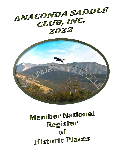# ANACONDA SADDLE CLUB, INC. 2022



## **Member National** Register Of **Historic Places**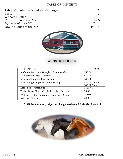#### TABLE OF CONTENTS

| Table of Contents/Schedule of Charges |           |
|---------------------------------------|-----------|
| Poem                                  |           |
| Welcome Letter                        |           |
| Constitution of the ASC               | $4 - 6$   |
| By-Laws of the ASC                    | $7 - 11$  |
| Ground Rules of the ASC               | $12 - 15$ |



#### **SCHEDULE OF CHARGES**

| DUES/FEES                                          | 1/1/2022                           |
|----------------------------------------------------|------------------------------------|
| Initiation Fee $\sim$ One Time for all memberships | \$50.00                            |
| Membership Dues ~ Annual                           | \$100.00                           |
| Associate Membership ~ Annual                      | \$30.00                            |
| Non-Voting Competition Membership                  | $$20.00/person-$<br>\$35.00/family |
| Lease Fee for Barn Space                           | \$150.00                           |
| Trailer Space Rent/Month (In trailer shed only)    | \$5.00                             |
| ** Tank Heater Charge per Heater per Season        | **90.00                            |
| Late Fee/Month                                     | \$3.00                             |

**\*\*\$90.00 minimum, subject to change perGround Rule #20, Page #15**

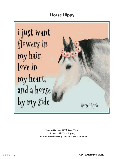### **Horse Hippy**

i just want flowers in my hair, love in my heart, and a horse by my side

Horse Hippie

**Some Horses Will Test You, Some Will Teach you, And Some will Bring Out The Best In You!**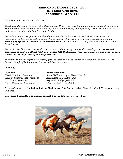#### **ANACONDA SADDLE CLUB, INC. 81 Saddle Club Drive ANACONDA, MT 59711**

*Dear Anaconda Saddle Club Member:*

*The Anaconda Saddle Club Broad of Directors and Officers are very happy to present this handbook to you. The handbook contains the Constitution, By-Laws, Ground Rules, dues/fees list, current barn owner' list, and current membership list of our organization.* 

*We believe that it is very important that the membership be informed of the Saddle Club's rules and regulations, so that we can all enjoy our shared passion of horses in a safe and constructive manner. Please pay special attention to the Ground Rules, as they govern our day-to-day conduct on Saddle Club Property.*

We would also like to encourage all of you to attend the monthly membership meetings, on the second *Thursday of each month at 7:00 p.m., in the ASC Clubhouse. Your participation and input is very important to the future of this organization.*

*Together we hope to improve our facility, provide some quality education and most importantly, we look forward to a fun-filled summer of horse activities and events.* 

*Sincerely,* 

*Jeremy Williams, Vice President Kyron King (2 yr-2021 – 22) Rita Sorum, Treasurer Skyler McNeal (1 yr-2022) Cyndi Thompson, Secretary* 

*Officers: Board Members: Kristie Vauthier, President Annie Williams, (3 yr-2020 – 21 – 22)*

**Events Committee (including but not limited to):** Rita Sorum, Kristie Vauthier, Cyndi Thompson, Anne Williams.

**Grievance Committee (including but not limited to):** Board of Directors.

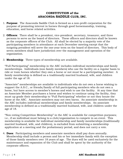#### **CONSTITUTION of the ANACONDA SADDLE CLUB, INC.**

- 1. **Purpose**: The Anaconda Saddle Club is formed as a non-profit corporation for the purpose of promoting interest in horses through good horsemanship, training, education, and horse related activities.
- 2. **Officers**: There shall be a president, vice-president, secretary, treasurer, and three persons to serve as the board of directors. These officers and directors shall be known as the corporate officers of the Club. All shall be elected by a majority vote of the participating members in attendance at each December meeting except that the outgoing president will serve the one-year term on the board of directors. This body of seven members shall have jurisdiction over the management and operation of the organization.
- 3. **Membership**: Three types of membership are available.

"Full Participating" membership in the ASC includes individual memberships and family memberships. Individuals (non family members) who use the facility on a regular basis to ride or train horses whether they own a horse or not must be a participating member. A family membership is defined as a traditionally married husband, wife, and children under the age of 18.

"Associate" memberships are available to individuals who do not own a horse wishing to support the A.S.C., or friends/family of full participating members who do not own a horse, but have access to member's horses and wish to use the facility. At any time that an Associate Member purchases a horse and wishes to continue using the facility, they must up grade their membership to "Full Participating" whether or not they house the horse at the ASC. Associate members may not own barns. An associate membership in the ASC includes individual memberships and family memberships. An associate membership is defined as a traditionally married husband, wife, and children under the age of 18.

"Non-voting Competition Membership" in the ASC is available for competition purposes; i.e., if an individual must belong to a club/organization to compete in an event. This membership is available for individual membership and family memberships (traditionally married husband, wife, and children), is excluded from submitting a membership application at a meeting and the probationary period, and does not carry a vote.

4. **Dues**: Participating members and associate members shall pay dues annually. Membership shall include a person and his or her immediate family with the exception of those family members over 18 years of age. The dues will be used exclusively for the maintenance and expansion of the Club and shall be spent by the authority of the corporate officers.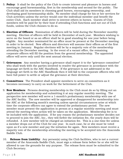- 5. **Policy**: It shall be the policy of the Club to create interest and pleasure in horses and encourage good horsemanship, first in the membership and second for the public. The Club shall aid its members in choosing good horses, encouraging ownership, and developing good horsemanship skills. No member shall charge for his or her services for Club activities unless the service would cost the individual member and benefit the entire Club. Each member shall strive to interest others in horses. Guests of Club members will be paid for by their host if attending Club functions and not out of Club funds, unless the Club chooses to do so.
- 6. **Election of Officers**: Nomination of officers will be held during the November monthly meeting. Election of officers will be held in December of each year. Members wishing to serve on the board or as an officer shall be in good standing for one year before being eligible. Any member nominated for an office must be present at the December meeting in order to be elected. New officers and directors will assume their offices as of the first meeting in January. Regular elections will be by a majority vote of the membership attending the December meeting. In the event of a vacant office, the remaining corporate officers will fill the position from the general membership. The appointed officer will serve only until the next annual election.
- 7. **Grievances**: Any member having a grievance shall report it to the "grievance committee" who shall work with the parties involved to resolve the grievance in accordance with the language set forth in the ASC Handbook. If the grievance is not addressed in the language set forth in the ASC Handbook then it will fall to the corporate officers who will have full power to settle or adjust the grievance at their direction.
- 8. **Committees**: The President shall appoint members to serve on committees as it becomes necessary to carry on work for the betterment of the Club.
- 9. **New Members**: Persons desiring membership in the Club must do so by filling out an application for membership and submitting it at any regular monthly meeting. The perspective new member will serve a 1-month's probationary membership with use of the ASC facility. The new member will be approved or disapproved for membership into the ASC at the following month's meeting unless special circumstances arise at which time the corporate officers can agree to extend the probationary period. The new member must present the application in person at a regular monthly meeting and must attend the meeting when action will be taken on the application. Membership fee is to be included with the application. If for any reason the probationary member decides not to proceed to join the ASC, Inc., they will forfeit the initiation fee, the yearly dues will be refunded. A new member will be charged an initiation fee. This is a one-time fee unless a member drops out of the Club for one year. In such case, he or she must be voted upon as if a new member and pay the initiation fee again. New members must receive a majority vote of the membership attending the meeting to be accepted into the Anaconda Saddle Club.
- 10. **Release from Liability**: Any person(s) using the Club facilities, who is not a current member of the Anaconda Saddle Club, must sign a release form before he or she will be allowed to use the grounds for any purpose. The release form must be submitted to the Club Secretary.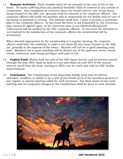11. **Humane Activities**: Each member shall set an example in the care of his or her horse. No horse suffering from any physical disability shall be entered in any activity or competition. Any complaints or concerns about the health and/or care of any horse being housed on the ASC, Inc. grounds shall be reported to the corporate officers. The corporate officers will notify the member who is responsible for the health and/or care of the horse in question in writing. The member shall have 7 days to present a correction plan to the corporate officers. In the event the letter is not responded to, the correction plan cannot be agreed upon, or the correction plan is not followed officials/law enforcement will be notified by the ASC corporate officers. In the event the situation is not resolved to the satisfaction of the corporate officers the membership will be terminated.

When deemed appropriate by the membership at a regular meeting, the corporate officers shall have the authority to order a vet check for any horse housed on the ASC, Inc. grounds at the expense of the owner. Member will not be in good standing until paid. Members not in good standing will be denied use of the pastures, arena, round corral, clubhouse, and voting privileges until paid in full.

- 12. **Capital Fund**: Money from the sale of the ASC liquor license and all interest earned through the year 2001 shall be held in trust and where as only 50% of the annual interest eared from the fund, starting in 2002, can be used, and only for ASC facility improvements.
- 13. **Conclusion**: The Constitution of the Anaconda Saddle Club may be altered, amended, modified, or added to by a vote of two-thirds (2/3) of the members present at any regular or special meeting called for such purposes. Ten days notice of any such meeting and the proposed changes in the Constitution shall be given to each member.

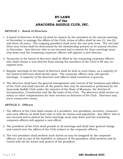### **BY-LAWS of the ANACONDA SADDLE CLUB, INC.**

#### **ARTICLE 1. Board of Directors**

- 1. A board of directors of three (3) shall be chosen by the members at the annual meeting in December to manage the affairs of the Club; terms of office shall be one (1), two (2), and three (3) years. The outgoing president shall serve the one-year term. The two and three year terms shall be determined by the membership present at its annual election in December. Any director who is not excused and is absent for three meetings must step down and the remaining corporate officers will appoint a new director.
- 2. Vacancies to the board of directors shall be filled by the remaining corporate officers who shall choose a new director from among the members of the Club to fill any unexpired term.
- 3. Regular meetings of the board of directors shall be held at such times, as a majority of the board of directors shall decide upon. The corporate officers may call special meetings. A majority of the directors and officers shall constitute a quorum.
- 4. The directors shall have the general management and control of the business and affairs of the Club and shall exercise all the powers that may be exercised or performed by the Anaconda Saddle Club under the statutes of the State of Montana, the Articles of Incorporation, Constitution and the By-Laws of the Club. The directors shall receive no salary or other compensation for their services as directors of the Club. Directors may serve consecutive terms.

#### **ARTICLE 2. Officers**

- 1. The officers of the Club shall consist of a president; vice-president, secretary, treasurer, and such officers as shall from time to time be chosen and appointed. Any officer who is not excused and is absent for three meetings must step down and the remaining corporate officers will appoint a new officer.
- 2. The president of the Club shall preside at all meetings and shall have general charge and control over the affairs of the Club subject to the corporate officers.
- 3. The vice-president shall perform such duties as may be assigned by the corporate officers, and in case of the disability or absence of the president, shall perform and be vested with all the duties and powers of the president.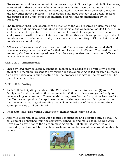- 4. The secretary shall keep a record of the proceedings of all meetings and shall give notice, as required in these by-laws, of all such meetings. Other records maintained by the secretary shall include; vaccination records, liability waivers, barn ownership records, and any other needed records.The secretary shall have custody of all books, records, and papers of the Club, except the financial records that are maintained by the treasurer.
- 5. The treasurer shall keep accounts of all monies of the Club received or disbursed and shall deposit all monies and valuables in the name of the Anaconda Saddle Club, Inc., in such banks and depositories as the corporate officers shall designate. The treasurer shall provide a written financial statement at all monthly membership meetings and will maintain a record of all membership dues, barn fees, accounting of Club activities, and maintain an annual budget.
- 6. Officers shall serve a one (2) year term, or until the next annual election, and shall receive no salary or compensation for their services as such officers. The president and secretary shall serve a staggered term from the vice president and treasurer. Officers may serve consecutive terms.

#### **ARTICLE 3. Amendments**

1. These by-laws may be altered, amended, modified, or added to by a vote of two-thirds (2/3) of the members present at any regular or special meeting called for such purposes. Ten days notice of any such meeting and the proposed changes in the by-laws shall be given to each member.

#### **ARTICLE 4. Voting**

- 1. Each Full Participating member of the Club shall be entitled to cast one (1) vote. A family membership is only entitled to one vote. Voting privileges are granted only to members in good standing. If membership dues, barn fees, and any other fees owed to the Club are not paid by the April meeting or making regular monthly payments then that member is not in good standing and will be denied use of the facility and their voting privileges until paid in full.
- 2. "Associate" and "Non-voting Competition" memberships carry no vote.
- 3. Absentee votes will be allowed upon request of members and accepted only by mail. A ballot must be obtained from the secretary, signed for and mailed to 81 Saddle Club Drive seven days prior to the election meeting night. Ballots not postmarked and received by mail will not be accepted. Write in nominations shall be allowed on absentee ballots.

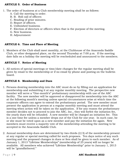#### **ARTICLE 5. Order of Business**

- 1. The order of business at a Club membership meeting shall be as follows:
	- A. Call the meeting to order.
	- B. B. Roll call of officers
	- C. Reading of prior minutes.
	- D. Report of officers.
	- E. Unfinished business.
	- F. Election of directors or officers when that is the purpose of the meeting.
	- G. New business.
	- H. Adjournment

#### **ARTICLE 6. Time and Place of Meeting**

1. Members of the Club shall meet monthly, at the Clubhouse of the Anaconda Saddle Club, or other designated place, on the second Thursday at 7:00 p.m. If the meeting date falls on a holiday the meeting will be rescheduled and announced to the members.

#### **ARTICLE 7. Notice of Meeting**

1. All notices of special meetings or time/date changes for the regular meeting shall be given by email to the membership or if no email by phone and posting on the bulletin board.

#### **ARTICLE 8. Membership and Dues**

- 1. Persons desiring membership into the ASC must do so by filling out an application for membership and submitting it at any regular monthly meeting. The perspective new member will serve a "One-month's" probationary membership with use of the ASC facility. The new member will be approved or disapproved for membership into the ASC at the following month's meeting unless special circumstances arise at which time the corporate officers can agree to extend the probationary period. The new member must present the application in person at a regular monthly meeting and must attend the meeting when action will be taken on the application. If for any reason the probationary member decides not to proceed to join the ASC, Inc., they will forfeit the initiation fee, the yearly dues will be refunded. A new member will be charged an initiation fee. This is a one-time fee unless a member drops out of the Club for one year. In such case, he or she must be voted upon as a new member and pay the initiation fee again. New members must receive a majority vote of the membership attending the meeting to be accepted in the Anaconda Saddle Club.
- 2. Annual membership dues are determined by two-thirds (2/3) of the membership present at any regular or special meeting called for such proposes. Ten days notice of any such meeting and the proposed changes in dues or fees shall be given to each member. As of January 1, 2013 "Lifetime Memberships" (membership of 25 years) will no longer be available. All members who achieved "Lifetime Membership" prior to January 1, 2013 will be "grandfathered."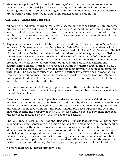3. Members not paid in full by the April meeting of each year or making regular monthly payments will be charged \$3.00 for each delinquent month and will not be in good standing until paid. Members not in good standing will be denied use of the pastures, arena, round corral, clubhouse, and voting privileges until paid in full.

#### **ARTICLE 9. Barns and Barn Fees**

- 1. All barns are individually owned real estate located on Anaconda Saddle Club property but are subject to all Club rules and regulations. New members may rent a barn if there is one available or purchase a barn from any member who agrees to do so. All barns and barn spaces are assessed annual fees. Barn assessment fees shall be used for the operation and maintenance of the Club.
- 2. Any member who wishes to sell his or her barn shall notify the corporate officers before any sale. Only members can purchase barns. Sale of barns to non-members will be null and void. Purchasing a barn requires a notarized bill of sale from the seller. The bill of sale shall have the barn number listed, the sellers notarized signature, and filed with the Anaconda-Deer Lodge County Clerk and Recorder's office. Proof of transfer of ownership with the Anaconda-Deer Lodge County Clerk and Recorder's Office must be provided to the corporate officers within 90 days of the sale unless extenuating circumstances exists. If proof is not received within the allotted time, a fine of \$25.00 will be assessed monthly until provided, and the member will not be in good standing until paid. The corporate officers will have the authority to wave fines in cases where extenuating circumstances make it impossible to meet the 90-day deadline. Members not in good standing will be denied use of the pastures, arena, round corral, clubhouse, and voting privileges until paid in full.
- 3. New barn owners are liable for any unpaid fees once the ownership is transferred; therefore, it is advisable to check if any back taxes or unpaid barn fees are owned before the sale is complete.
- 4. Barn or space fees are due and payable at the same time as membership dues. All dues and fees are due in January. Members not paid in full by the April meeting of each year or making regular monthly payments will be charged \$3.00 for each delinquent month and will not be in good standing until paid. Should barn fees lapse for one year, the barn will become the property of the ASC, Inc. and shall be sold to pay back barn fees and any costs incurred by the ASC, Inc. related to seizure.

The ASC, Inc. is listed on the "National Register of Historic Places;" thus, all barns new or remodeled must conform to the design and look of the existing barns. Each member is responsible for the maintenance of his or her barn/pen including water supply. Members will be notified in writing of any required maintenance. If not addressed in a timely fashion the corporate officers will take corrective measures and will assess the member for any costs associated with resolving the situation. Members will not be in good standing until paid. Members not in good standing will be denied the use of the pastures, arena, round corral, clubhouse, and voting privileges until paid in full.

No more than two (2) horses per barn/pen.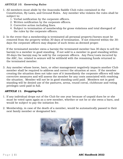#### *ARTICLE 10. Governing Rules*

- 1. All members must abide by the Anaconda Saddle Club rules contained in the Constitution, By-Laws, and Ground Rules. Any member who violates the rules shall be subject to:
	- 1. Verbal notification by the corporate officers.
	- 2. Written notification by the corporate officers.
	- 3. Corrective action including fines.
	- 4. Subject to termination of membership for gross violations and total disregard of the rules by the corporate officers.
- 2. In the event that a membership is terminated all personal property/horses must be removed from the property within 30 days of termination. If not removed within the 30 days the corporate officers may dispose of such items as deemed proper.

If the terminated member owns a barn(s) the terminated member has 30-days to sell the barn(s) to a member in good standing. If not sold to a member in good standing within 30-days the barn(s) may be sold by the corporate officers. Any Fees/costs incurred by the ASC, Inc. related to seizure will be withheld with the remaining funds returned to the terminated member.

3. Any member whose horse, barn, or other management negatively impacts another Club member shall be required to address and correct the situation at once. If the member creating the situation does not take care of it immediately the corporate officers will take corrective measures and will assess the member for any costs associated with resolving the situation. Member will not be in good standing until paid. Members not in good standing will be denied use of the pastures, arena, round corral, clubhouse and voting privileges until paid in full.

#### *ARTICLE 11. Dropping-Out*

- 1. If any individual drops out of the Club for one year because of unpaid dues he or she must be voted upon again as a new member, whether or not he or she owns a barn, and would be subject to pay the initiation fee.
- 2. Membership, in case of the death of a member, would be automatically passed to their next family member or designated heir.

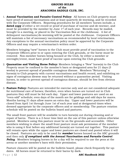#### **GROUND RULES of the ANACONDA SADDLE CLUB, INC.**

1. **Annual Vaccination and Parasite Control Policy:** All horses on Club property must have proof of annual vaccinations and at least quarterly de-worming, and be recorded with the Corporate Officers. Reporting procedures for all members' horses include, a **dated copy** of either a vet record or proof of purchase of vaccine and de-wormer, and must be provided by the member by June 1st of each year. Records may be mailed, brought to a meeting, or placed in the Vaccination Box at the clubhouse. A list of delinquent vaccinations/de-worming will be posted at the clubhouse. Corporate Officers will maintain a list of necessary vaccinations as recommended by local veterinarians. Any exceptions to the annual vaccination policy must be apporved by the Corporate Officers and may require a veterinarian's written order.

Members bringing "new" horses to the Club must provide proof of vaccination to the Corporate Officers prior to or upon entering the Club grounds, or the horse must be removed. Non-member horses being housed at the Club, by either a member or overnight/event, must have proof of vaccine upon entering the Club grounds.

- 2. **Quarantine and Visiting Horse Policy:** Members bringing a "New" horse(s) to the Club Property must be confined to the member's barn or designated area for 21 days (3 weeks) to prevent spread of possible contagious disease. Members "Returning" a horse(s) to Club property with current vaccinations and health record, and exhibiting no signs of contagious diesese may be returned without a quarantine period. Visiting horses, in order to prevent spread of contagious disease, should be free from obvious disease.
- 3. **Pasture Policy:** Pastures are intended for exercise only and are not considered adequate for nutritional care of horses; therefore, even when horses are turned out in Club pastures they still must be fed each day. Upper and lower pastures are used on an "even-odd" schedule; even days of the month are for geldings and odd days for mares. Months having 31 days allow mares an extra day. Upper and lower pastures will be closed from April 1st through June 1st of each year and at designated times when deemed appropriate by the corporate officers and or membership. The pasture rotation schedule will be posted on the bulletin board and pastures.

The small front pasture will be available to turn horse(s) out during cleaning and or repair of barns. There is a 2-hour time limit on the use of this pasture unless otherwise posted. Members using this pasture must be on the grounds and accessible. Other members wishing to share the small front pasture must ask permission of the member who is using it first before any additional horse(s) are turned out together. This pasture will remain open while the upper and lower pastures are closed and posted when it will be closed. Pastures are only to be used for *member* horses housed on the ASC grounds and then only *if compliant with the Annual Vaccination and Parasite Control*  **Policy.** Members bringing horses in for a day will be required to use the pens at the arena or another member's barn with their permission.

Pasture closures will be posted on the bulletin board, please check frequently for updates. All horses must be returned to their barns by dark.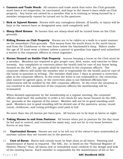- 4. **Canners and Trade Stock:** All canners and trade stock that enter the Club grounds must have a vet inspection, be vaccinated, and kept in the owner's barn while on Club property. Any horse not owned by a member that is in training or being housed by a member temporarily cannot be turned out in the pastures.
- 5. **Sick or Injured Horses:** Horses with any contagious disease, ill health, or injury will be kept in the owners barn or designated area until completely well.
- 6. **Sharp Shod Horses:** No horses that are sharp-shod will be turned loose on the Club grounds.
- 7. **Riding Horses on Club Property**: Horses are to be ridden at a walk in a quiet manner on the immediate Club grounds. This means from the south fence to the north barns and from the Clubhouse to the east fence below the blacksmith's shop. Riders under the age of 18 must wear a helmet unless a parent or guardian has signed and submitted a waiver to the corporate officers or event organizer.
- 8. **Horses Housed on Saddle Club Property**: Anyone keeping a horse at the Club must be a member. Members are required to give proper care, feed, water, and exercise to their horse(s). Any complaints or concerns about the health and/or care of any horse being housed on the ASC, Inc. grounds shall be reported to the corporate officers. The corporate officers will notify the member who is responsible for the health and/or care of the horse in question in writing. The member shall have 7 days to present a correction plan to the corporate officers. In the event the letter is not responded to, the correction plan cannot be agreed upon, or the correction plan is not followed officials/law enforcement will be notified by the ASC corporate officers. In the event the situation is not resolved to the satisfaction of the corporate officers the membership will be terminated.

When deemed appropriate by the membership at a regular meeting, the corporate officers shall have the authority to order a vet check for any horse housed on the ASC, Inc. grounds at the expense of the owner. Member will not be in good standing until paid. Members not in good standing will be denied use of the pastures, arena, round corral, clubhouse, and voting privileges until paid in full.

No more than two (2) horses per barn/pen. All horses are to be kept in barns at night.

- 9. **Taking Horses to and from Pastures**: All horses when put in pasture for the day must be led and in control, and returned the same way, and not let to run loose between fences at any time.
- 10. **Unattended Horses**: Horses are not to be left out of the owner's barn unattended at anytime unless they are turned out in the pastures.
- 11. **Care of Barns:** Barns and corrals must be kept clean at all times. Painting and maintenance of barns is required. The ASC, Inc. is listed on the "National Register of Historic Places;" thus, all barns new or remodeled must conform to the design and look of the existing barns. Each member is responsible for the maintenance of his or her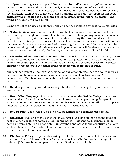barn/pen including water supply. Members will be notified in writing of any required maintenance. If not addressed in a timely fashion the corporate officers will take corrective measures and will assess the member for any costs associated with resolving the situation. Members will not be in good standing until paid. Members not in good standing will be denied the use of the pastures, arena, round corral, clubhouse, and voting privileges until paid in full.

Barns are not to be used as storage units and cannot contain any hazardous materials.

- 12. **Water Supply:** Water supply facilities will be kept in good condition and not allowed to run into your neighbors corral. If water is running into adjoining corrals, the member responsible must repair it at once. If the member creating the situation does not take care of it immediately the corporate officers will take corrective measures and will assess the member for any costs associated with resolving the situation. Members will not be in good standing until paid. Members not in good standing will be denied the use of the pastures, arena, round corral, clubhouse, and voting privileges until paid in full.
- 13. **Disposing of Manure and or Straw:** When disposing of manure and or straw, it is to be hauled to the lower pasture and dumped in a designated area. No trash including twine is to be dumped with manure and straw. Should it become necessary to scatter manure to restore grass in certain areas members will be notified of such.

Any member caught dumping trash, twine, or any other objects that can cause injuries to horses will be responsible and can be subject to loss of pasture use and/or membership. Members are responsible for hauling any trash too large for the dumpster to the landfill.

- 14. **Smoking:** Smoking around barns is prohibited. No burning of any kind is allowed around barns.
- 15. **Use of Club Property:** Any person or persons using the Saddle Club grounds must be a member. Exceptions include occasional guests and people coming for specific activities and events. However, any non-member using Anaconda Saddle Club property must sign a liability release form and file it with the Club secretary.
- 16. **Round Pen:** Use of the round pen shall be limited to 45 minutes per session.
- 17. **Stallions:** Stallions over 15 months or younger displaying stallion actions must be kept in a pen capable of safely containing the horse. Adjacent barn owners shall be notified before a stallion comes onto Club grounds and agree to the construction of any such stallion pen. The Club will not be used as a breeding facility, therefore, breeding of outside mares will not be allowed.
- 18. **Clubhouse Policy:** Any member using the clubhouse is responsible for its care and condition. The clubhouse will be left clean and locked. Children under the age of eighteen (18) must be accompanied by an adult while in the clubhouse.